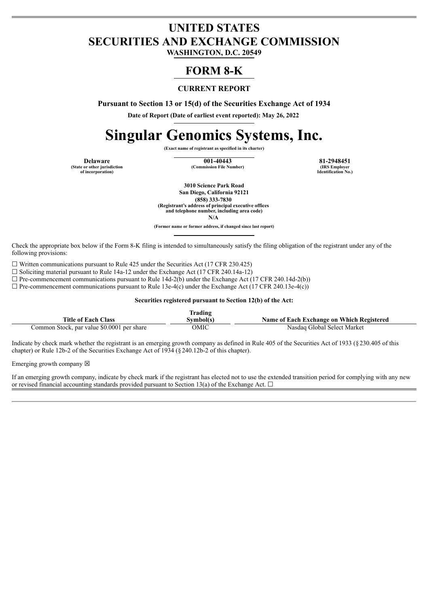# **UNITED STATES SECURITIES AND EXCHANGE COMMISSION**

**WASHINGTON, D.C. 20549**

# **FORM 8-K**

# **CURRENT REPORT**

**Pursuant to Section 13 or 15(d) of the Securities Exchange Act of 1934**

**Date of Report (Date of earliest event reported): May 26, 2022**

# **Singular Genomics Systems, Inc.**

**(Exact name of registrant as specified in its charter)**

**(State or other jurisdiction of incorporation)**

**Delaware 001-40443 81-2948451**  $(Commission File Number)$ 

**Identification No.)**

**3010 Science Park Road San Diego, California 92121 (858) 333-7830 (Registrant's address of principal executive offices and telephone number, including area code) N/A**

**(Former name or former address, if changed since last report)**

Check the appropriate box below if the Form 8-K filing is intended to simultaneously satisfy the filing obligation of the registrant under any of the following provisions:

 $\Box$  Written communications pursuant to Rule 425 under the Securities Act (17 CFR 230.425)

☐ Soliciting material pursuant to Rule 14a-12 under the Exchange Act (17 CFR 240.14a-12)

 $\Box$  Pre-commencement communications pursuant to Rule 14d-2(b) under the Exchange Act (17 CFR 240.14d-2(b))

 $\Box$  Pre-commencement communications pursuant to Rule 13e-4(c) under the Exchange Act (17 CFR 240.13e-4(c))

#### **Securities registered pursuant to Section 12(b) of the Act:**

|                                            | Trading   |                                           |
|--------------------------------------------|-----------|-------------------------------------------|
| <b>Title of Each Class</b>                 | Svmbol(s) | Name of Each Exchange on Which Registered |
| Common Stock, par value \$0.0001 per share | OMIC      | Nasdag Global Select Market               |

Indicate by check mark whether the registrant is an emerging growth company as defined in Rule 405 of the Securities Act of 1933 (§230.405 of this chapter) or Rule 12b-2 of the Securities Exchange Act of 1934 (§240.12b-2 of this chapter).

Emerging growth company  $\boxtimes$ 

If an emerging growth company, indicate by check mark if the registrant has elected not to use the extended transition period for complying with any new or revised financial accounting standards provided pursuant to Section 13(a) of the Exchange Act.  $\Box$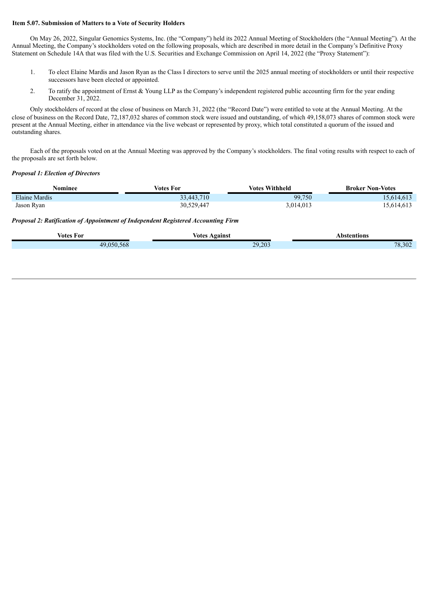## **Item 5.07. Submission of Matters to a Vote of Security Holders**

On May 26, 2022, Singular Genomics Systems, Inc. (the "Company") held its 2022 Annual Meeting of Stockholders (the "Annual Meeting"). At the Annual Meeting, the Company's stockholders voted on the following proposals, which are described in more detail in the Company's Definitive Proxy Statement on Schedule 14A that was filed with the U.S. Securities and Exchange Commission on April 14, 2022 (the "Proxy Statement"):

- 1. To elect Elaine Mardis and Jason Ryan as the Class I directors to serve until the 2025 annual meeting of stockholders or until their respective successors have been elected or appointed.
- 2. To ratify the appointment of Ernst & Young LLP as the Company's independent registered public accounting firm for the year ending December 31, 2022.

Only stockholders of record at the close of business on March 31, 2022 (the "Record Date") were entitled to vote at the Annual Meeting. At the close of business on the Record Date, 72,187,032 shares of common stock were issued and outstanding, of which 49,158,073 shares of common stock were present at the Annual Meeting, either in attendance via the live webcast or represented by proxy, which total constituted a quorum of the issued and outstanding shares.

Each of the proposals voted on at the Annual Meeting was approved by the Company's stockholders. The final voting results with respect to each of the proposals are set forth below.

### *Proposal 1: Election of Directors*

| Nominee       | Votes For  | <b>Votes Withheld</b> | <b>Broker Non-Votes</b> |
|---------------|------------|-----------------------|-------------------------|
| Elaine Mardis | 33,443,710 | 99,750                | 15,614,613              |
| Jason Ryan    | 30,529,447 | 3,014,013             | 15,614,613              |

*Proposal 2: Ratification of Appointment of Independent Registered Accounting Firm*

| $ -$<br>votes For       | votes<br>Against | Abstentions         |
|-------------------------|------------------|---------------------|
| $\epsilon$<br>40<br>oos | 29,203           | 202<br>70<br>18.302 |